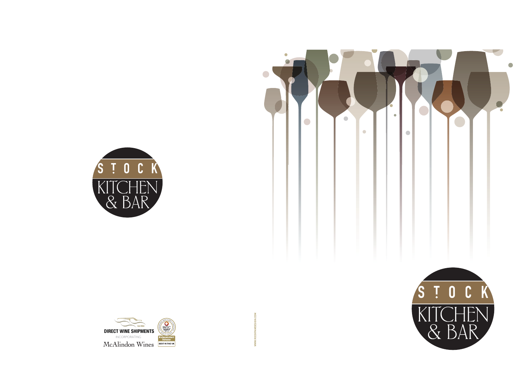





WWW.ROCKPAWDESIGN.COM **WWW.ROCKPAWDESIGN.COM**